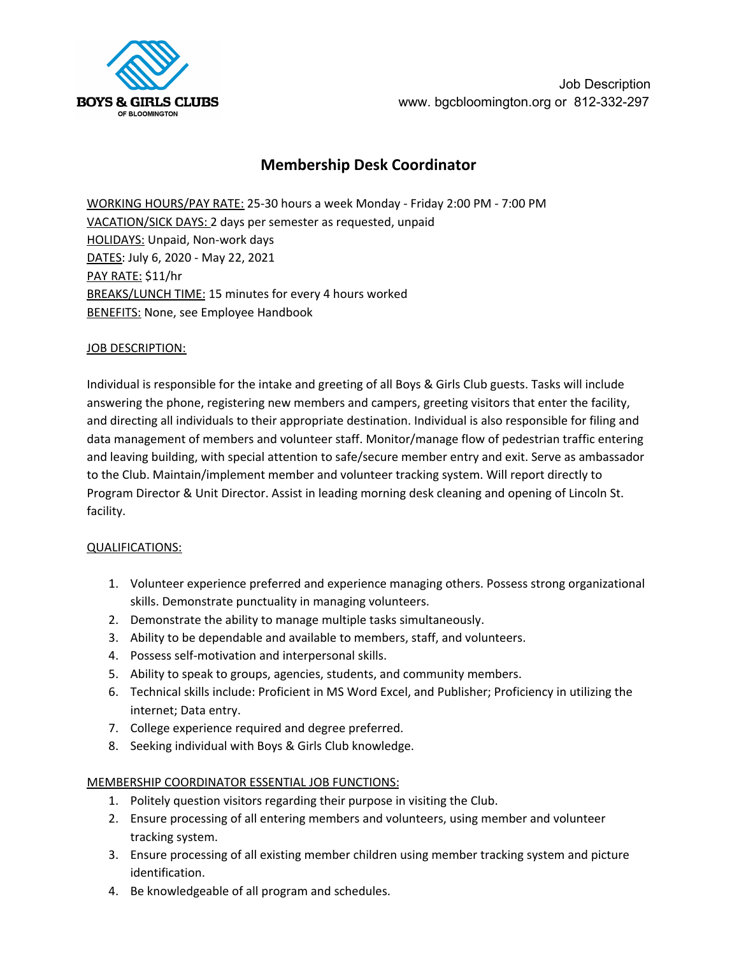

Job Description www. bgcbloomington.org or 812-332-297

# **Membership Desk Coordinator**

WORKING HOURS/PAY RATE: 25-30 hours a week Monday - Friday 2:00 PM - 7:00 PM VACATION/SICK DAYS: 2 days per semester as requested, unpaid HOLIDAYS: Unpaid, Non-work days DATES: July 6, 2020 - May 22, 2021 PAY RATE: \$11/hr BREAKS/LUNCH TIME: 15 minutes for every 4 hours worked **BENEFITS: None, see Employee Handbook** 

### JOB DESCRIPTION:

Individual is responsible for the intake and greeting of all Boys & Girls Club guests. Tasks will include answering the phone, registering new members and campers, greeting visitors that enter the facility, and directing all individuals to their appropriate destination. Individual is also responsible for filing and data management of members and volunteer staff. Monitor/manage flow of pedestrian traffic entering and leaving building, with special attention to safe/secure member entry and exit. Serve as ambassador to the Club. Maintain/implement member and volunteer tracking system. Will report directly to Program Director & Unit Director. Assist in leading morning desk cleaning and opening of Lincoln St. facility.

#### QUALIFICATIONS:

- 1. Volunteer experience preferred and experience managing others. Possess strong organizational skills. Demonstrate punctuality in managing volunteers.
- 2. Demonstrate the ability to manage multiple tasks simultaneously.
- 3. Ability to be dependable and available to members, staff, and volunteers.
- 4. Possess self-motivation and interpersonal skills.
- 5. Ability to speak to groups, agencies, students, and community members.
- 6. Technical skills include: Proficient in MS Word Excel, and Publisher; Proficiency in utilizing the internet; Data entry.
- 7. College experience required and degree preferred.
- 8. Seeking individual with Boys & Girls Club knowledge.

## MEMBERSHIP COORDINATOR ESSENTIAL JOB FUNCTIONS:

- 1. Politely question visitors regarding their purpose in visiting the Club.
- 2. Ensure processing of all entering members and volunteers, using member and volunteer tracking system.
- 3. Ensure processing of all existing member children using member tracking system and picture identification.
- 4. Be knowledgeable of all program and schedules.